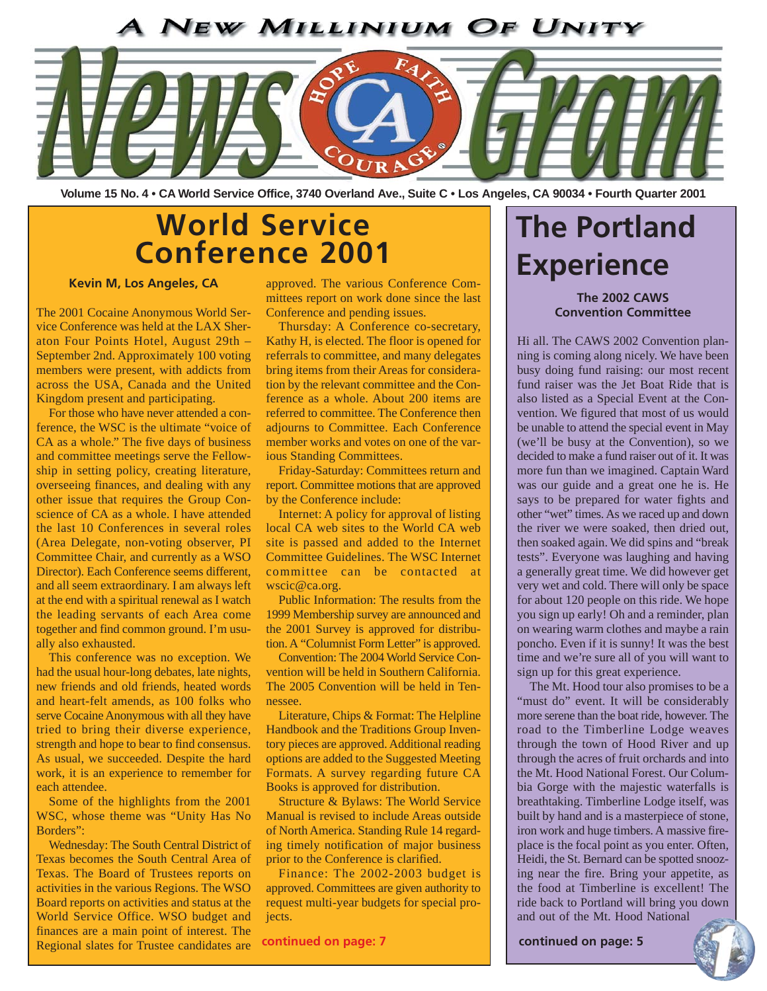### **NEW MILLINIUM OF UNITY**



**Volume 15 No. 4 • CA World Service Office, 3740 Overland Ave., Suite C • Los Angeles, CA 90034 • Fourth Quarter 2001**

### **World Service Conference 2001**

### **Kevin M, Los Angeles, CA**

The 2001 Cocaine Anonymous World Service Conference was held at the LAX Sheraton Four Points Hotel, August 29th – September 2nd. Approximately 100 voting members were present, with addicts from across the USA, Canada and the United Kingdom present and participating.

For those who have never attended a conference, the WSC is the ultimate "voice of CA as a whole." The five days of business and committee meetings serve the Fellowship in setting policy, creating literature, overseeing finances, and dealing with any other issue that requires the Group Conscience of CA as a whole. I have attended the last 10 Conferences in several roles (Area Delegate, non-voting observer, PI Committee Chair, and currently as a WSO Director). Each Conference seems different, and all seem extraordinary. I am always left at the end with a spiritual renewal as I watch the leading servants of each Area come together and find common ground. I'm usually also exhausted.

This conference was no exception. We had the usual hour-long debates, late nights, new friends and old friends, heated words and heart-felt amends, as 100 folks who serve Cocaine Anonymous with all they have tried to bring their diverse experience, strength and hope to bear to find consensus. As usual, we succeeded. Despite the hard work, it is an experience to remember for each attendee.

Some of the highlights from the 2001 WSC, whose theme was "Unity Has No Borders":

Wednesday: The South Central District of Texas becomes the South Central Area of Texas. The Board of Trustees reports on activities in the various Regions. The WSO Board reports on activities and status at the World Service Office. WSO budget and finances are a main point of interest. The Regional slates for Trustee candidates are

approved. The various Conference Committees report on work done since the last Conference and pending issues.

Thursday: A Conference co-secretary, Kathy H, is elected. The floor is opened for referrals to committee, and many delegates bring items from their Areas for consideration by the relevant committee and the Conference as a whole. About 200 items are referred to committee. The Conference then adjourns to Committee. Each Conference member works and votes on one of the various Standing Committees.

Friday-Saturday: Committees return and report. Committee motions that are approved by the Conference include:

Internet: A policy for approval of listing local CA web sites to the World CA web site is passed and added to the Internet Committee Guidelines. The WSC Internet committee can be contacted at wscic@ca.org.

Public Information: The results from the 1999 Membership survey are announced and the 2001 Survey is approved for distribution. A "Columnist Form Letter" is approved.

Convention: The 2004 World Service Convention will be held in Southern California. The 2005 Convention will be held in Tennessee.

Literature, Chips & Format: The Helpline Handbook and the Traditions Group Inventory pieces are approved. Additional reading options are added to the Suggested Meeting Formats. A survey regarding future CA Books is approved for distribution.

Structure & Bylaws: The World Service Manual is revised to include Areas outside of North America. Standing Rule 14 regarding timely notification of major business prior to the Conference is clarified.

Finance: The 2002-2003 budget is approved. Committees are given authority to request multi-year budgets for special projects.

**continued on page: 7 continued on page: 5**

## **The Portland Experience**

### **The 2002 CAWS Convention Committee**

Hi all. The CAWS 2002 Convention planning is coming along nicely. We have been busy doing fund raising: our most recent fund raiser was the Jet Boat Ride that is also listed as a Special Event at the Convention. We figured that most of us would be unable to attend the special event in May (we'll be busy at the Convention), so we decided to make a fund raiser out of it. It was more fun than we imagined. Captain Ward was our guide and a great one he is. He says to be prepared for water fights and other "wet" times. As we raced up and down the river we were soaked, then dried out, then soaked again. We did spins and "break tests". Everyone was laughing and having a generally great time. We did however get very wet and cold. There will only be space for about 120 people on this ride. We hope you sign up early! Oh and a reminder, plan on wearing warm clothes and maybe a rain poncho. Even if it is sunny! It was the best time and we're sure all of you will want to sign up for this great experience.

The Mt. Hood tour also promises to be a "must do" event. It will be considerably more serene than the boat ride, however. The road to the Timberline Lodge weaves through the town of Hood River and up through the acres of fruit orchards and into the Mt. Hood National Forest. Our Columbia Gorge with the majestic waterfalls is breathtaking. Timberline Lodge itself, was built by hand and is a masterpiece of stone, iron work and huge timbers. A massive fireplace is the focal point as you enter. Often, Heidi, the St. Bernard can be spotted snoozing near the fire. Bring your appetite, as the food at Timberline is excellent! The ride back to Portland will bring you down and out of the Mt. Hood National

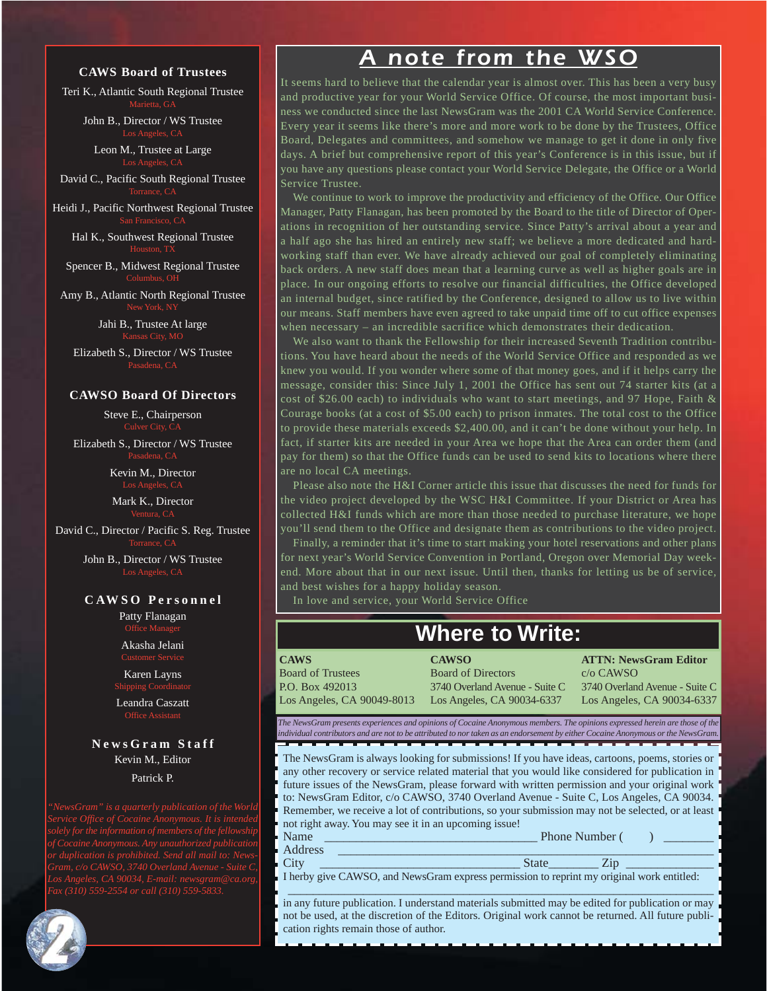#### **CAWS Board of Trustees**

Teri K., Atlantic South Regional Trustee Marietta, GA

John B., Director / WS Trustee

Leon M., Trustee at Large Los Angeles, CA

David C., Pacific South Regional Trustee

Heidi J., Pacific Northwest Regional Trustee

Hal K., Southwest Regional Trustee

Spencer B., Midwest Regional Trustee Columbus, OH

Amy B., Atlantic North Regional Trustee New York, N

> Jahi B., Trustee At large Kansas City, MO

Elizabeth S., Director / WS Trustee

#### **CAWSO Board Of Directors**

Steve E., Chairperson Culver City, C

Elizabeth S., Director / WS Trustee

Kevin M., Director

Mark K., Director

David C., Director / Pacific S. Reg. Trustee

John B., Director / WS Trustee

#### **C AW S O Pe r s o n n e l**

Patty Flanagan Office Manager

Akasha Jelani

Karen Layns

Shipping Coordinator

Leandra Caszatt Office Assistant

### **NewsGram Staff** Kevin M., Editor

Patrick P.

*Service Office of Cocaine Anonymous. It is intended*



### *A note from the WSO*

It seems hard to believe that the calendar year is almost over. This has been a very busy and productive year for your World Service Office. Of course, the most important business we conducted since the last NewsGram was the 2001 CA World Service Conference. Every year it seems like there's more and more work to be done by the Trustees, Office Board, Delegates and committees, and somehow we manage to get it done in only five days. A brief but comprehensive report of this year's Conference is in this issue, but if you have any questions please contact your World Service Delegate, the Office or a World Service Trustee.

We continue to work to improve the productivity and efficiency of the Office. Our Office Manager, Patty Flanagan, has been promoted by the Board to the title of Director of Operations in recognition of her outstanding service. Since Patty's arrival about a year and a half ago she has hired an entirely new staff; we believe a more dedicated and hardworking staff than ever. We have already achieved our goal of completely eliminating back orders. A new staff does mean that a learning curve as well as higher goals are in place. In our ongoing efforts to resolve our financial difficulties, the Office developed an internal budget, since ratified by the Conference, designed to allow us to live within our means. Staff members have even agreed to take unpaid time off to cut office expenses when necessary – an incredible sacrifice which demonstrates their dedication.

We also want to thank the Fellowship for their increased Seventh Tradition contributions. You have heard about the needs of the World Service Office and responded as we knew you would. If you wonder where some of that money goes, and if it helps carry the message, consider this: Since July 1, 2001 the Office has sent out 74 starter kits (at a cost of \$26.00 each) to individuals who want to start meetings, and 97 Hope, Faith  $\&$ Courage books (at a cost of \$5.00 each) to prison inmates. The total cost to the Office to provide these materials exceeds \$2,400.00, and it can't be done without your help. In fact, if starter kits are needed in your Area we hope that the Area can order them (and pay for them) so that the Office funds can be used to send kits to locations where there are no local CA meetings.

Please also note the H&I Corner article this issue that discusses the need for funds for the video project developed by the WSC H&I Committee. If your District or Area has collected H&I funds which are more than those needed to purchase literature, we hope you'll send them to the Office and designate them as contributions to the video project.

Finally, a reminder that it's time to start making your hotel reservations and other plans for next year's World Service Convention in Portland, Oregon over Memorial Day weekend. More about that in our next issue. Until then, thanks for letting us be of service, and best wishes for a happy holiday season.

In love and service, your World Service Office

### **Where to Write:**

**CAWS** Board of Trustees P.O. Box 492013 Los Angeles, CA 90049-8013

**CAWSO** Board of Directors 3740 Overland Avenue - Suite C Los Angeles, CA 90034-6337

**ATTN: NewsGram Editor** c/o CAWSO

3740 Overland Avenue - Suite C Los Angeles, CA 90034-6337

*The NewsGram presents experiences and opinions of Cocaine Anonymous members. The opinions expressed herein are those of the individual contributors and are not to be attributed to nor taken as an endorsement by either Cocaine Anonymous or the NewsGram.*

The NewsGram is always looking for submissions! If you have ideas, cartoons, poems, stories or any other recovery or service related material that you would like considered for publication in future issues of the NewsGram, please forward with written permission and your original work to: NewsGram Editor, c/o CAWSO, 3740 Overland Avenue - Suite C, Los Angeles, CA 90034. Remember, we receive a lot of contributions, so your submission may not be selected, or at least not right away. You may see it in an upcoming issue!

|   | -------- |  |
|---|----------|--|
| Δ |          |  |

City \_\_\_\_\_\_\_\_\_\_\_\_\_\_\_\_\_\_\_\_\_\_\_\_\_\_\_\_\_\_\_\_ State\_\_\_\_\_\_\_\_ Zip \_\_\_\_\_\_\_\_\_\_\_\_\_\_

I herby give CAWSO, and NewsGram express permission to reprint my original work entitled:

\_\_\_\_\_\_\_\_\_\_\_\_\_\_\_\_\_\_\_\_\_\_\_\_\_\_\_\_\_\_\_\_\_\_\_\_\_\_\_\_\_\_\_\_\_\_\_\_\_\_\_\_\_\_\_\_\_\_\_\_\_\_\_\_\_\_\_\_ in any future publication. I understand materials submitted may be edited for publication or may not be used, at the discretion of the Editors. Original work cannot be returned. All future publication rights remain those of author.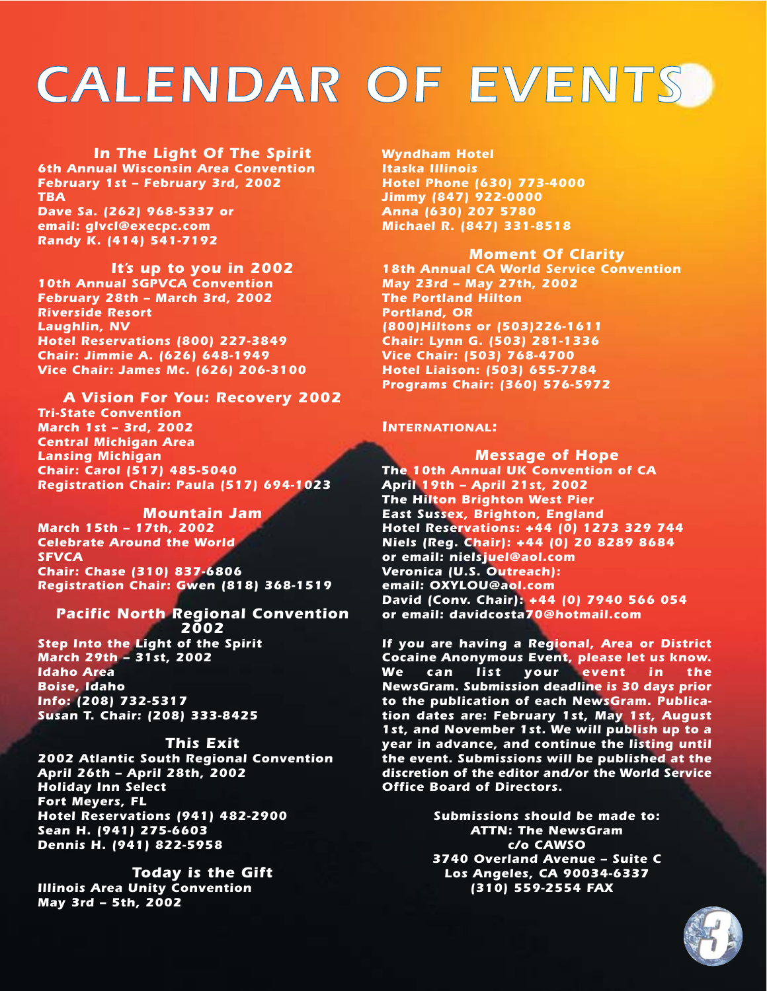# *CALENDAR OF EVENTS*

*In The Light Of The Spirit 6th Annual Wisconsin Area Convention February 1st – February 3rd, 2002 TBA Dave Sa. (262) 968-5337 or email: glvcl@execpc.com Randy K. (414) 541-7192*

*It's up to you in 2002 10th Annual SGPVCA Convention February 28th – March 3rd, 2002 Riverside Resort Laughlin, NV Hotel Reservations (800) 227-3849 Chair: Jimmie A. (626) 648-1949 Vice Chair: James Mc. (626) 206-3100*

*A Vision For You: Recovery 2002 Tri-State Convention March 1st – 3rd, 2002 Central Michigan Area Lansing Michigan Chair: Carol (517) 485-5040 Registration Chair: Paula (517) 694-1023*

*Mountain Jam March 15th – 17th, 2002 Celebrate Around the World SFVCA Chair: Chase (310) 837-6806 Registration Chair: Gwen (818) 368-1519*

*Pacific North Regional Convention 2002 Step Into the Light of the Spirit March 29th – 31st, 2002 Idaho Area Boise, Idaho Info: (208) 732-5317 Susan T. Chair: (208) 333-8425*

#### *This Exit*

*2002 Atlantic South Regional Convention April 26th – April 28th, 2002 Holiday Inn Select Fort Meyers, FL Hotel Reservations (941) 482-2900 Sean H. (941) 275-6603 Dennis H. (941) 822-5958*

*Today is the Gift Illinois Area Unity Convention May 3rd – 5th, 2002*

*Wyndham Hotel Itaska Illinois Hotel Phone (630) 773-4000 Jimmy (847) 922-0000 Anna (630) 207 5780 Michael R. (847) 331-8518*

*Moment Of Clarity 18th Annual CA World Service Convention*

*May 23rd – May 27th, 2002 The Portland Hilton Portland, OR (800)Hiltons or (503)226-1611 Chair: Lynn G. (503) 281-1336 Vice Chair: (503) 768-4700 Hotel Liaison: (503) 655-7784 Programs Chair: (360) 576-5972*

#### *INTERNATIONAL:*

*Message of Hope The 10th Annual UK Convention of CA April 19th – April 21st, 2002 The Hilton Brighton West Pier East Sussex, Brighton, England Hotel Reservations: +44 (0) 1273 329 744 Niels (Reg. Chair): +44 (0) 20 8289 8684 or email: nielsjuel@aol.com Veronica (U.S. Outreach): email: OXYLOU@aol.com David (Conv. Chair): +44 (0) 7940 566 054 or email: davidcosta70@hotmail.com*

*If you are having a Regional, Area or District Cocaine Anonymous Event, please let us know. We can list your event in the NewsGram. Submission deadline is 30 days prior to the publication of each NewsGram. Publication dates are: February 1st, May 1st, August 1st, and November 1st. We will publish up to a year in advance, and continue the listing until the event. Submissions will be published at the discretion of the editor and/or the World Service Office Board of Directors.*

> *Submissions should be made to: ATTN: The NewsGram c/o CAWSO 3740 Overland Avenue – Suite C Los Angeles, CA 90034-6337 (310) 559-2554 FAX*

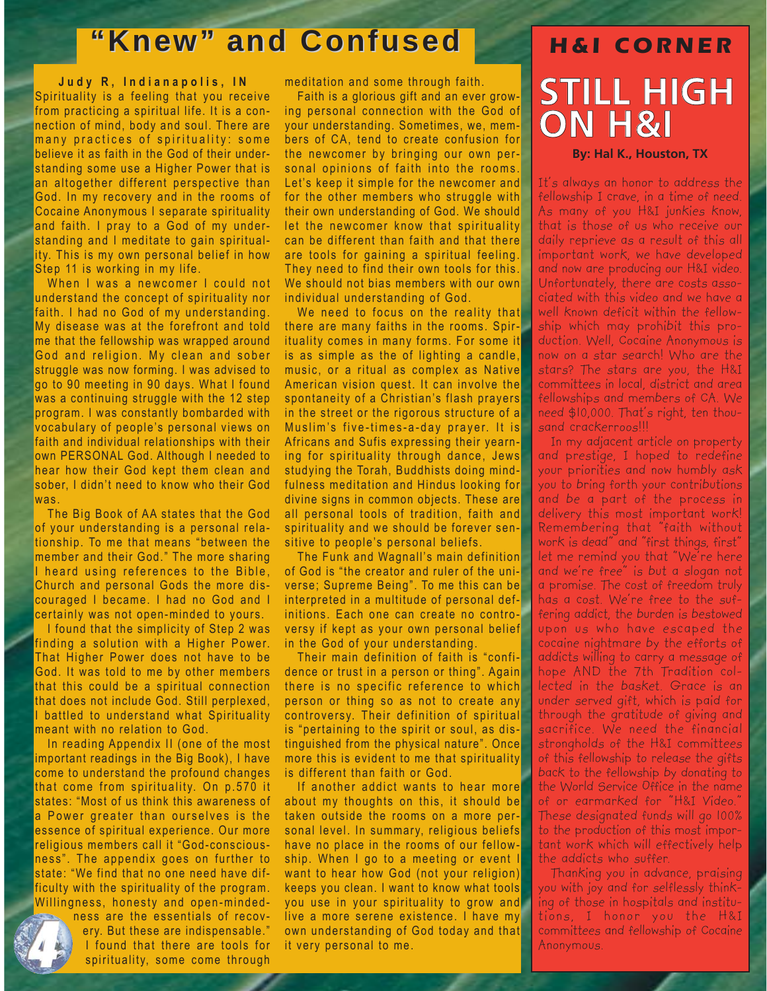## **"Knew" and Confused and Confused** *H&I CORNER*

**Judy R, Indianapolis, IN** Spirituality is a feeling that you receive from practicing a spiritual life. It is a connection of mind, body and soul. There are many practices of spirituality: some believe it as faith in the God of their understanding some use a Higher Power that is an altogether different perspective than God. In my recovery and in the rooms of Cocaine Anonymous I separate spirituality and faith. I pray to a God of my understanding and I meditate to gain spirituality. This is my own personal belief in how Step 11 is working in my life.

When I was a newcomer I could not understand the concept of spirituality nor faith. I had no God of my understanding. My disease was at the forefront and told me that the fellowship was wrapped around God and religion. My clean and sober struggle was now forming. I was advised to go to 90 meeting in 90 days. What I found was a continuing struggle with the 12 step program. I was constantly bombarded with vocabulary of people's personal views on faith and individual relationships with their own PERSONAL God. Although I needed to hear how their God kept them clean and sober, I didn't need to know who their God was.

The Big Book of AA states that the God of your understanding is a personal relationship. To me that means "between the member and their God." The more sharing I heard using references to the Bible, Church and personal Gods the more discouraged I became. I had no God and I certainly was not open-minded to yours.

I found that the simplicity of Step 2 was inding a solution with a Higher Power. That Higher Power does not have to be God. It was told to me by other members that this could be a spiritual connection that does not include God. Still perplexed, I battled to understand what Spirituality meant with no relation to God.

In reading Appendix II (one of the most important readings in the Big Book), I have come to understand the profound changes that come from spirituality. On p.570 it states: "Most of us think this awareness of a Power greater than ourselves is the essence of spiritual experience. Our more religious members call it "God-consciousness". The appendix goes on further to state: "We find that no one need have difficulty with the spirituality of the program. Willingness, honesty and open-minded-

> ness are the essentials of recovery. But these are indispensable." I found that there are tools for spirituality, some come through

meditation and some through faith.

Faith is a glorious gift and an ever growing personal connection with the God of your understanding. Sometimes, we, members of CA, tend to create confusion for the newcomer by bringing our own personal opinions of faith into the rooms. Let's keep it simple for the newcomer and for the other members who struggle with their own understanding of God. We should let the newcomer know that spirituality can be different than faith and that there are tools for gaining a spiritual feeling. They need to find their own tools for this. We should not bias members with our own individual understanding of God.

We need to focus on the reality that there are many faiths in the rooms. Spirituality comes in many forms. For some it is as simple as the of lighting a candle, music, or a ritual as complex as Native American vision quest. It can involve the spontaneity of a Christian's flash prayers in the street or the rigorous structure of a Muslim's five-times-a-day prayer. It is Africans and Sufis expressing their yearning for spirituality through dance, Jews studying the Torah, Buddhists doing mindfulness meditation and Hindus looking for divine signs in common objects. These are all personal tools of tradition, faith and spirituality and we should be forever sensitive to people's personal beliefs.

The Funk and Wagnall's main definition of God is "the creator and ruler of the universe; Supreme Being". To me this can be interpreted in a multitude of personal definitions. Each one can create no controversy if kept as your own personal belief in the God of your understanding.

Their main definition of faith is "confidence or trust in a person or thing". Again there is no specific reference to which person or thing so as not to create any controversy. Their definition of spiritual is "pertaining to the spirit or soul, as distinguished from the physical nature". Once more this is evident to me that spirituality is different than faith or God.

If another addict wants to hear more about my thoughts on this, it should be taken outside the rooms on a more personal level. In summary, religious beliefs have no place in the rooms of our fellowship. When I go to a meeting or event I want to hear how God (not your religion) keeps you clean. I want to know what tools you use in your spirituality to grow and live a more serene existence. I have my own understanding of God today and that it very personal to me.

# **STILL HIGH ON H&I**

#### **By: Hal K., Houston, TX**

It's always an honor to address the fellowship I crave, in a time of need. As many of you H&I junkies know, that is those of us who receive our daily reprieve as a result of this all important work, we have developed and now are producing our H&I video. Unfortunately, there are costs associated with this video and we have a well known deficit within the fellowship which may prohibit this production. Well, Cocaine Anonymous is now on a star search! Who are the stars? The stars are you, the H&I committees in local, district and area fellowships and members of CA. We need \$10,000. That's right, ten thousand crackerroos!!!

In my adjacent article on property and prestige, I hoped to redefine your priorities and now humbly ask you to bring forth your contributions and be a part of the process in delivery this most important work! Remembering that "faith without work is dead" and "first things, first" let me remind you that "We're here and we're free" is but a slogan not a promise. The cost of freedom truly has a cost. We're free to the suffering addict, the burden is bestowed upon us who have escaped the cocaine nightmare by the efforts of addicts willing to carry a message of hope AND the 7th Tradition collected in the basket. Grace is an under served gift, which is paid for through the gratitude of giving and sacrifice. We need the financial strongholds of the H&I committees of this fellowship to release the gifts back to the fellowship by donating to the World Service Office in the name of or earmarked for "H&I Video." These designated funds will go 100% to the production of this most important work which will effectively help the addicts who suffer.

Thanking you in advance, praising you with joy and for selflessly thinking of those in hospitals and institutions, I honor you the H&I committees and fellowship of Cocaine Anonymous.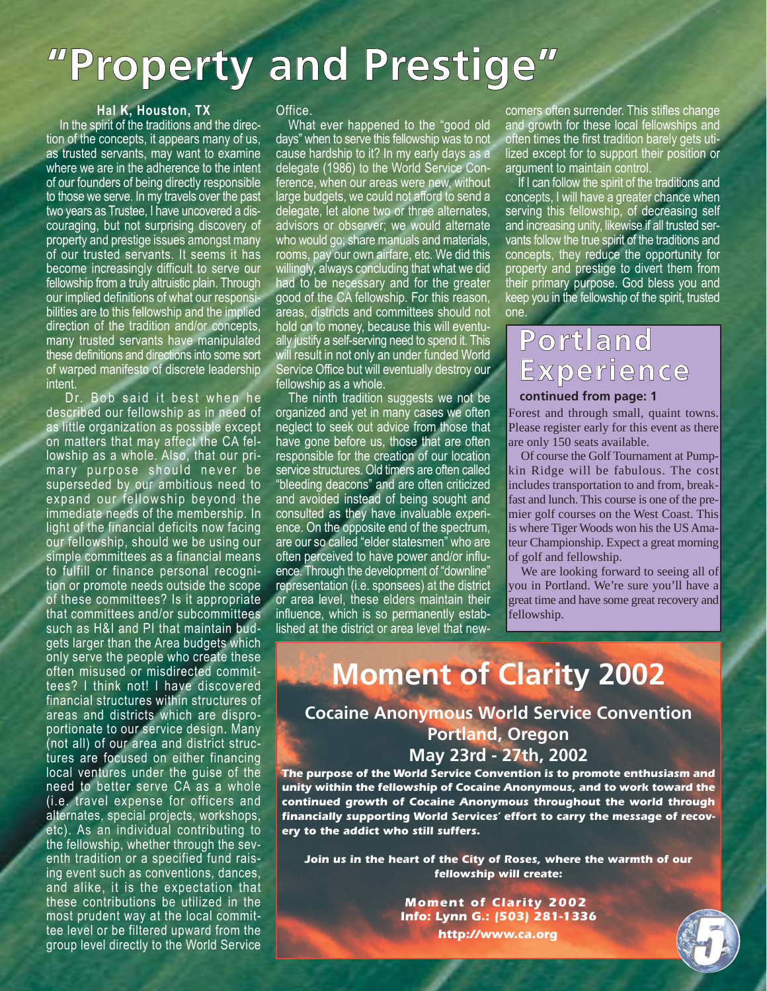# **"Property and Prestige"**

### **Hal K, Houston, TX**

In the spirit of the traditions and the direction of the concepts, it appears many of us, as trusted servants, may want to examine where we are in the adherence to the intent of our founders of being directly responsible to those we serve. In my travels over the past two years as Trustee, I have uncovered a discouraging, but not surprising discovery of property and prestige issues amongst many of our trusted servants. It seems it has become increasingly difficult to serve our fellowship from a truly altruistic plain. Through our implied definitions of what our responsibilities are to this fellowship and the implied direction of the tradition and/or concepts, many trusted servants have manipulated these definitions and directions into some sort of warped manifesto of discrete leadership intent.

Dr. Bob said it best when he described our fellowship as in need of as little organization as possible except on matters that may affect the CA fellowship as a whole. Also, that our primary purpose should never be superseded by our ambitious need to expand our fellowship beyond the immediate needs of the membership. In light of the financial deficits now facing our fellowship, should we be using our simple committees as a financial means to fulfill or finance personal recognition or promote needs outside the scope of these committees? Is it appropriate that committees and/or subcommittees such as H&I and PI that maintain budgets larger than the Area budgets which only serve the people who create these often misused or misdirected committees? I think not! I have discovered financial structures within structures of areas and districts which are disproportionate to our service design. Many (not all) of our area and district structures are focused on either financing local ventures under the guise of the need to better serve CA as a whole (i.e. travel expense for officers and alternates, special projects, workshops, etc). As an individual contributing to the fellowship, whether through the seventh tradition or a specified fund raising event such as conventions, dances, and alike, it is the expectation that these contributions be utilized in the most prudent way at the local committee level or be filtered upward from the group level directly to the World Service

### Office.

What ever happened to the "good old days" when to serve this fellowship was to not cause hardship to it? In my early days as a delegate (1986) to the World Service Conference, when our areas were new, without large budgets, we could not afford to send a delegate, let alone two or three alternates, advisors or observer; we would alternate who would go; share manuals and materials, rooms, pay our own airfare, etc. We did this willingly, always concluding that what we did had to be necessary and for the greater good of the CA fellowship. For this reason, areas, districts and committees should not hold on to money, because this will eventually justify a self-serving need to spend it. This will result in not only an under funded World Service Office but will eventually destroy our fellowship as a whole.

The ninth tradition suggests we not be organized and yet in many cases we often neglect to seek out advice from those that have gone before us, those that are often responsible for the creation of our location service structures. Old timers are often called "bleeding deacons" and are often criticized and avoided instead of being sought and consulted as they have invaluable experience. On the opposite end of the spectrum, are our so called "elder statesmen" who are often perceived to have power and/or influence. Through the development of "downline" representation (i.e. sponsees) at the district or area level, these elders maintain their influence, which is so permanently established at the district or area level that newcomers often surrender. This stifles change and growth for these local fellowships and often times the first tradition barely gets utilized except for to support their position or argument to maintain control.

If I can follow the spirit of the traditions and concepts, I will have a greater chance when serving this fellowship, of decreasing self and increasing unity, likewise if all trusted servants follow the true spirit of the traditions and concepts, they reduce the opportunity for property and prestige to divert them from their primary purpose. God bless you and keep you in the fellowship of the spirit, trusted one.

## **Portland Experience**

### **continued from page: 1**

Forest and through small, quaint towns. Please register early for this event as there are only 150 seats available.

Of course the Golf Tournament at Pumpkin Ridge will be fabulous. The cost includes transportation to and from, breakfast and lunch. This course is one of the premier golf courses on the West Coast. This is where Tiger Woods won his the US Amateur Championship. Expect a great morning of golf and fellowship.

We are looking forward to seeing all of you in Portland. We're sure you'll have a great time and have some great recovery and fellowship.

## **Moment of Clarity 2002**

### **Cocaine Anonymous World Service Convention Portland, Oregon May 23rd - 27th, 2002**

*The purpose of the World Service Convention is to promote enthusiasm and unity within the fellowship of Cocaine Anonymous, and to work toward the continued growth of Cocaine Anonymous throughout the world through financially supporting World Services' effort to carry the message of recovery to the addict who still suffers.*

*Join us in the heart of the City of Roses, where the warmth of our fellowship will create:*

> *Moment of Clarity 2002 Info: Lynn G.: (503) 281-1336 http://www.ca.org*

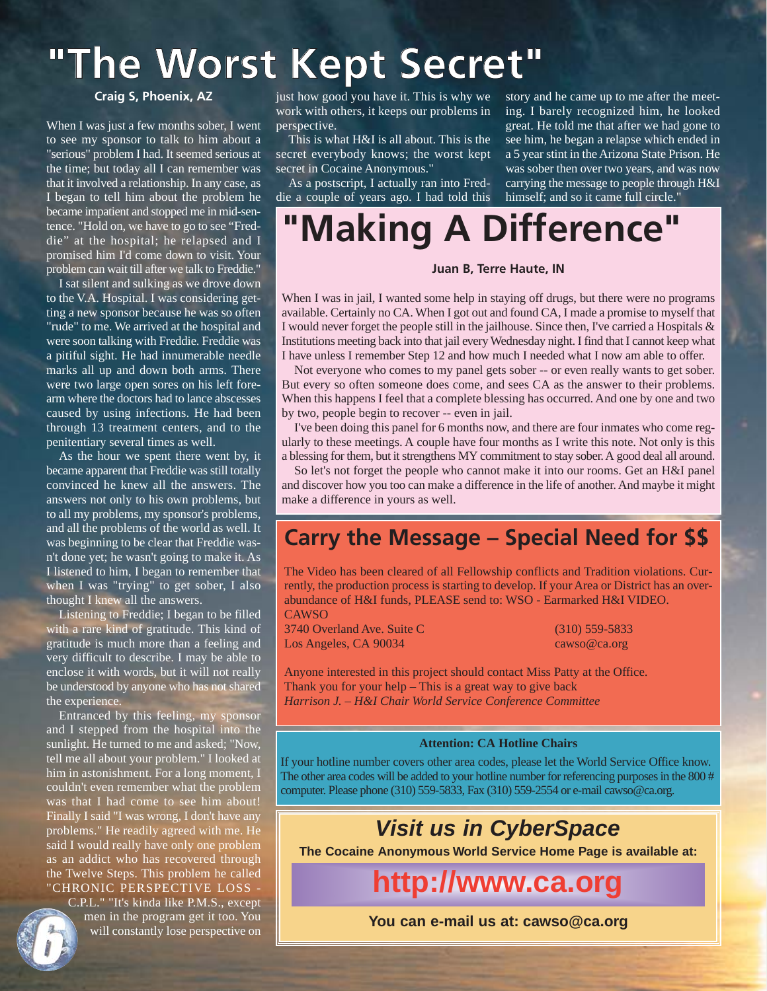# **"The Worst Kept Secret"**

### **Craig S, Phoenix, AZ**

When I was just a few months sober, I went to see my sponsor to talk to him about a "serious" problem I had. It seemed serious at the time; but today all I can remember was that it involved a relationship. In any case, as I began to tell him about the problem he became impatient and stopped me in mid-sentence. "Hold on, we have to go to see "Freddie" at the hospital; he relapsed and I promised him I'd come down to visit. Your problem can wait till after we talk to Freddie."

I sat silent and sulking as we drove down to the V.A. Hospital. I was considering getting a new sponsor because he was so often "rude" to me. We arrived at the hospital and were soon talking with Freddie. Freddie was a pitiful sight. He had innumerable needle marks all up and down both arms. There were two large open sores on his left forearm where the doctors had to lance abscesses caused by using infections. He had been through 13 treatment centers, and to the penitentiary several times as well.

As the hour we spent there went by, it became apparent that Freddie was still totally convinced he knew all the answers. The answers not only to his own problems, but to all my problems, my sponsor's problems, and all the problems of the world as well. It was beginning to be clear that Freddie wasn't done yet; he wasn't going to make it. As I listened to him, I began to remember that when I was "trying" to get sober, I also thought I knew all the answers.

Listening to Freddie; I began to be filled with a rare kind of gratitude. This kind of gratitude is much more than a feeling and very difficult to describe. I may be able to enclose it with words, but it will not really be understood by anyone who has not shared the experience.

Entranced by this feeling, my sponsor and I stepped from the hospital into the sunlight. He turned to me and asked; "Now, tell me all about your problem." I looked at him in astonishment. For a long moment, I couldn't even remember what the problem was that I had come to see him about! Finally I said "I was wrong, I don't have any problems." He readily agreed with me. He said I would really have only one problem as an addict who has recovered through the Twelve Steps. This problem he called "CHRONIC PERSPECTIVE LOSS -

C.P.L." "It's kinda like P.M.S., except men in the program get it too. You will constantly lose perspective on just how good you have it. This is why we work with others, it keeps our problems in perspective.

This is what H&I is all about. This is the secret everybody knows; the worst kept secret in Cocaine Anonymous."

As a postscript, I actually ran into Freddie a couple of years ago. I had told this

story and he came up to me after the meeting. I barely recognized him, he looked great. He told me that after we had gone to see him, he began a relapse which ended in a 5 year stint in the Arizona State Prison. He was sober then over two years, and was now carrying the message to people through H&I himself; and so it came full circle."

# **"Making A Difference"**

### **Juan B, Terre Haute, IN**

When I was in jail, I wanted some help in staying off drugs, but there were no programs available. Certainly no CA. When I got out and found CA, I made a promise to myself that I would never forget the people still in the jailhouse. Since then, I've carried a Hospitals & Institutions meeting back into that jail every Wednesday night. I find that I cannot keep what I have unless I remember Step 12 and how much I needed what I now am able to offer.

Not everyone who comes to my panel gets sober -- or even really wants to get sober. But every so often someone does come, and sees CA as the answer to their problems. When this happens I feel that a complete blessing has occurred. And one by one and two by two, people begin to recover -- even in jail.

I've been doing this panel for 6 months now, and there are four inmates who come regularly to these meetings. A couple have four months as I write this note. Not only is this a blessing for them, but it strengthens MY commitment to stay sober. A good deal all around.

So let's not forget the people who cannot make it into our rooms. Get an H&I panel and discover how you too can make a difference in the life of another. And maybe it might make a difference in yours as well.

### **Carry the Message – Special Need for \$\$**

The Video has been cleared of all Fellowship conflicts and Tradition violations. Currently, the production process is starting to develop. If your Area or District has an overabundance of H&I funds, PLEASE send to: WSO - Earmarked H&I VIDEO. CAWSO

3740 Overland Ave. Suite C (310) 559-5833 Los Angeles, CA 90034 cawso@ca.org

Anyone interested in this project should contact Miss Patty at the Office. Thank you for your help – This is a great way to give back *Harrison J. – H&I Chair World Service Conference Committee*

#### **Attention: CA Hotline Chairs**

If your hotline number covers other area codes, please let the World Service Office know. The other area codes will be added to your hotline number for referencing purposes in the 800 # computer. Please phone (310) 559-5833, Fax (310) 559-2554 or e-mail cawso@ca.org.

### **Visit us in CyberSpace**

**The Cocaine Anonymous World Service Home Page is available at:**

**http://www.ca.org**

**You can e-mail us at: cawso@ca.org**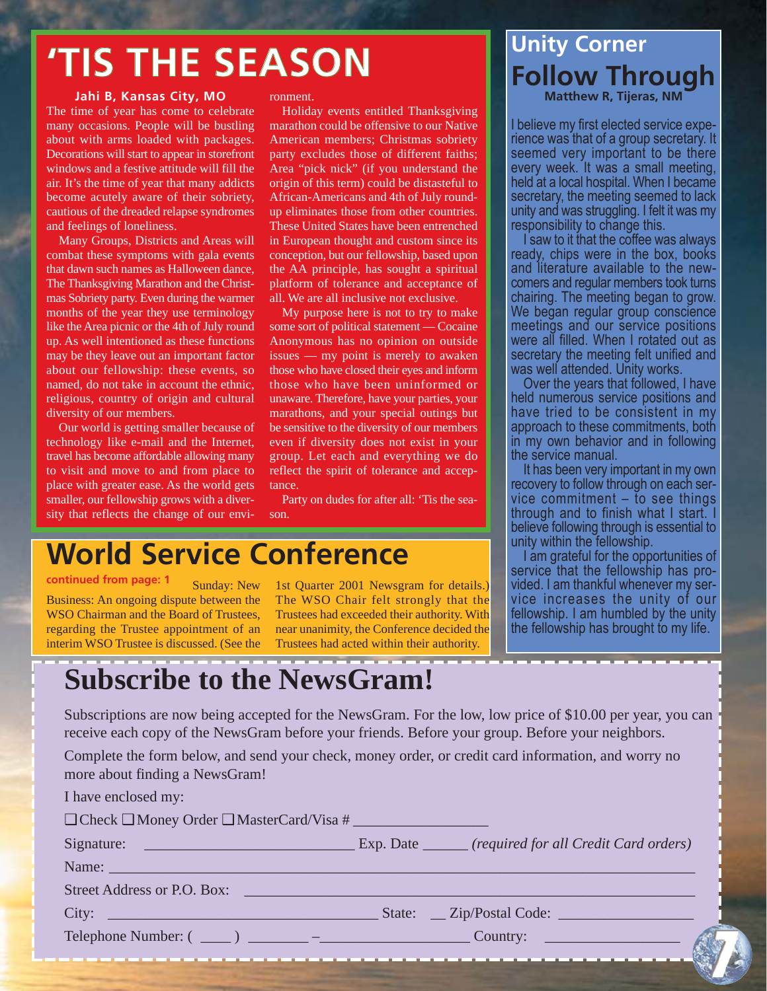# **'TIS THE SEASON**

### **Jahi B, Kansas City, MO**

The time of year has come to celebrate many occasions. People will be bustling about with arms loaded with packages. Decorations will start to appear in storefront windows and a festive attitude will fill the air. It's the time of year that many addicts become acutely aware of their sobriety, cautious of the dreaded relapse syndromes and feelings of loneliness.

Many Groups, Districts and Areas will combat these symptoms with gala events that dawn such names as Halloween dance, The Thanksgiving Marathon and the Christmas Sobriety party. Even during the warmer months of the year they use terminology like the Area picnic or the 4th of July round up. As well intentioned as these functions may be they leave out an important factor about our fellowship: these events, so named, do not take in account the ethnic, religious, country of origin and cultural diversity of our members.

Our world is getting smaller because of technology like e-mail and the Internet, travel has become affordable allowing many to visit and move to and from place to place with greater ease. As the world gets smaller, our fellowship grows with a diversity that reflects the change of our environment.

Holiday events entitled Thanksgiving marathon could be offensive to our Native American members; Christmas sobriety party excludes those of different faiths; Area "pick nick" (if you understand the origin of this term) could be distasteful to African-Americans and 4th of July roundup eliminates those from other countries. These United States have been entrenched in European thought and custom since its conception, but our fellowship, based upon the AA principle, has sought a spiritual platform of tolerance and acceptance of all. We are all inclusive not exclusive.

My purpose here is not to try to make some sort of political statement — Cocaine Anonymous has no opinion on outside issues — my point is merely to awaken those who have closed their eyes and inform those who have been uninformed or unaware. Therefore, have your parties, your marathons, and your special outings but be sensitive to the diversity of our members even if diversity does not exist in your group. Let each and everything we do reflect the spirit of tolerance and acceptance.

Party on dudes for after all: 'Tis the season.

## **World Service Conference**

**continued from page: 1**

Sunday: New Business: An ongoing dispute between the WSO Chairman and the Board of Trustees, regarding the Trustee appointment of an interim WSO Trustee is discussed. (See the

1st Quarter 2001 Newsgram for details.) The WSO Chair felt strongly that the Trustees had exceeded their authority. With near unanimity, the Conference decided the Trustees had acted within their authority.

## **Unity Corner Follow Through Matthew R, Tijeras, NM**

I believe my first elected service experience was that of a group secretary. It seemed very important to be there every week. It was a small meeting, held at a local hospital. When I became secretary, the meeting seemed to lack unity and was struggling. I felt it was my responsibility to change this.

I saw to it that the coffee was always ready, chips were in the box, books and literature available to the newcomers and regular members took turns chairing. The meeting began to grow. We began regular group conscience meetings and our service positions were all filled. When I rotated out as secretary the meeting felt unified and was well attended. Unity works.

Over the years that followed, I have held numerous service positions and have tried to be consistent in my approach to these commitments, both in my own behavior and in following the service manual.

It has been very important in my own recovery to follow through on each service commitment – to see things through and to finish what I start. believe following through is essential to unity within the fellowship.

I am grateful for the opportunities of service that the fellowship has provided. I am thankful whenever my service increases the unity of our fellowship. I am humbled by the unity the fellowship has brought to my life.

## **Subscribe to the NewsGram!**

Subscriptions are now being accepted for the NewsGram. For the low, low price of \$10.00 per year, you can receive each copy of the NewsGram before your friends. Before your group. Before your neighbors.

Complete the form below, and send your check, money order, or credit card information, and worry no more about finding a NewsGram!

| I have enclosed my:                                      |  |  |  |  |
|----------------------------------------------------------|--|--|--|--|
| $\Box$ Check $\Box$ Money Order $\Box$ MasterCard/Visa # |  |  |  |  |
|                                                          |  |  |  |  |
| Name: Name:                                              |  |  |  |  |
|                                                          |  |  |  |  |
|                                                          |  |  |  |  |
|                                                          |  |  |  |  |
|                                                          |  |  |  |  |